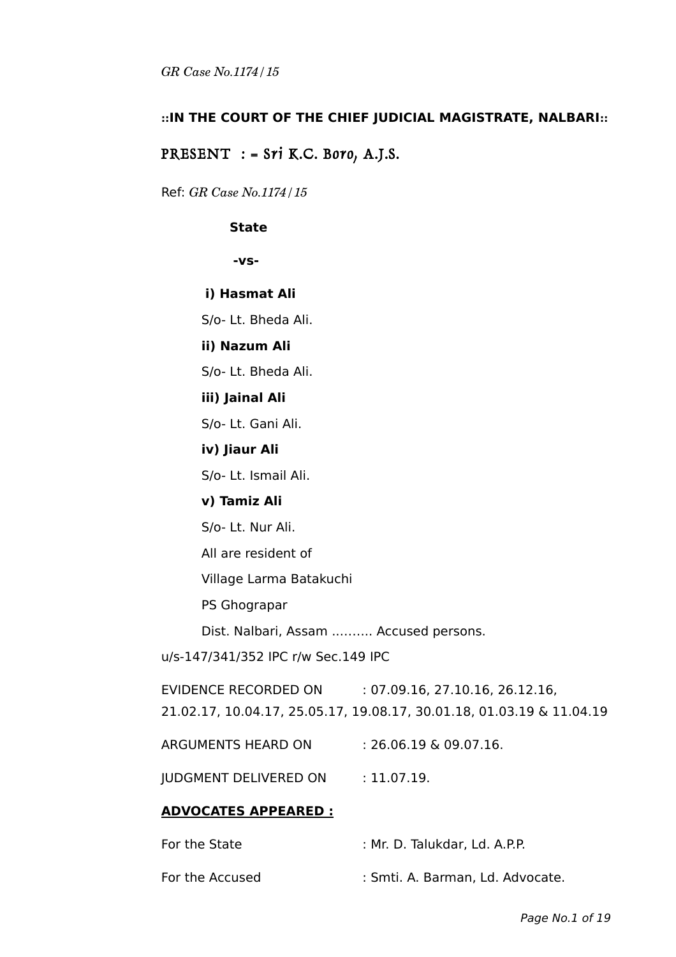## **::IN THE COURT OF THE CHIEF JUDICIAL MAGISTRATE, NALBARI::**

## PRESENT  $:$  = Sri K.C. Boro, A.J.S.

Ref: *GR Case No.1174/15*

#### **State**

**-vs-**

**i) Hasmat Ali**

S/o- Lt. Bheda Ali.

## **ii) Nazum Ali**

S/o- Lt. Bheda Ali.

#### **iii) Jainal Ali**

S/o- Lt. Gani Ali.

#### **iv) Jiaur Ali**

S/o- Lt. Ismail Ali.

#### **v) Tamiz Ali**

S/o- Lt. Nur Ali.

All are resident of

Village Larma Batakuchi

PS Ghograpar

Dist. Nalbari, Assam ..…….. Accused persons.

u/s-147/341/352 IPC r/w Sec.149 IPC

EVIDENCE RECORDED ON : 07.09.16, 27.10.16, 26.12.16,

21.02.17, 10.04.17, 25.05.17, 19.08.17, 30.01.18, 01.03.19 & 11.04.19

ARGUMENTS HEARD ON : 26.06.19 & 09.07.16.

JUDGMENT DELIVERED ON : 11.07.19.

#### **ADVOCATES APPEARED :**

| For the State   | : Mr. D. Talukdar, Ld. A.P.P.    |
|-----------------|----------------------------------|
| For the Accused | : Smti. A. Barman, Ld. Advocate. |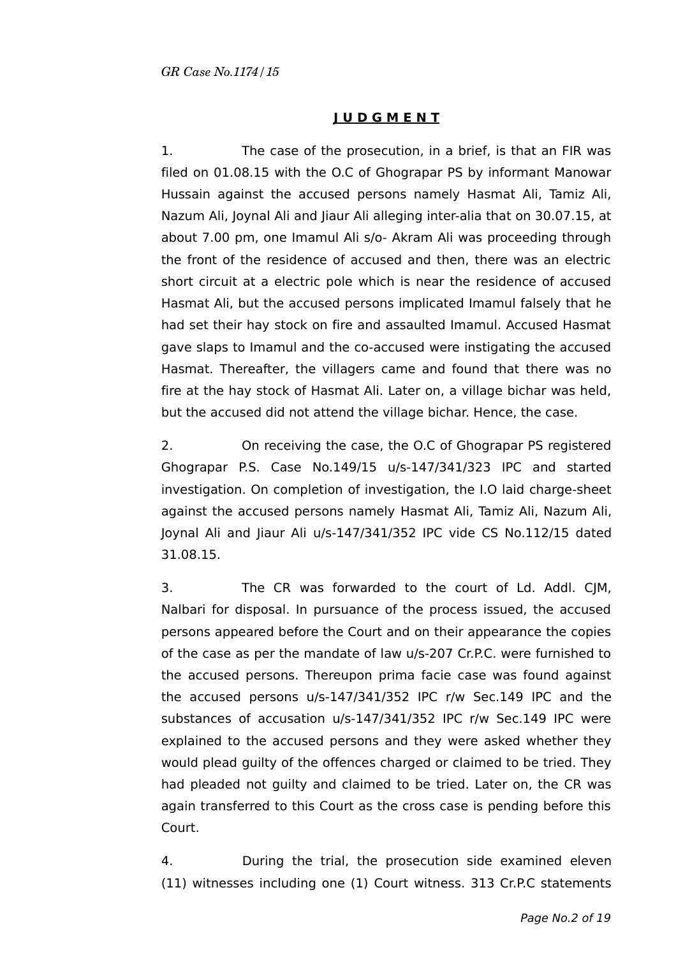# **J U D G M E N T**

1. The case of the prosecution, in a brief, is that an FIR was filed on 01.08.15 with the O.C of Ghograpar PS by informant Manowar Hussain against the accused persons namely Hasmat Ali, Tamiz Ali, Nazum Ali, Joynal Ali and Jiaur Ali alleging inter-alia that on 30.07.15, at about 7.00 pm, one Imamul Ali s/o- Akram Ali was proceeding through the front of the residence of accused and then, there was an electric short circuit at a electric pole which is near the residence of accused Hasmat Ali, but the accused persons implicated Imamul falsely that he had set their hay stock on fire and assaulted Imamul. Accused Hasmat gave slaps to Imamul and the co-accused were instigating the accused Hasmat. Thereafter, the villagers came and found that there was no fire at the hay stock of Hasmat Ali. Later on, a village bichar was held, but the accused did not attend the village bichar. Hence, the case.

2. On receiving the case, the O.C of Ghograpar PS registered Ghograpar P.S. Case No.149/15 u/s-147/341/323 IPC and started investigation. On completion of investigation, the I.O laid charge-sheet against the accused persons namely Hasmat Ali, Tamiz Ali, Nazum Ali, Joynal Ali and Jiaur Ali u/s-147/341/352 IPC vide CS No.112/15 dated 31.08.15.

3. The CR was forwarded to the court of Ld. Addl. CJM, Nalbari for disposal. In pursuance of the process issued, the accused persons appeared before the Court and on their appearance the copies of the case as per the mandate of law u/s-207 Cr.P.C. were furnished to the accused persons. Thereupon prima facie case was found against the accused persons u/s-147/341/352 IPC r/w Sec.149 IPC and the substances of accusation u/s-147/341/352 IPC r/w Sec.149 IPC were explained to the accused persons and they were asked whether they would plead guilty of the offences charged or claimed to be tried. They had pleaded not guilty and claimed to be tried. Later on, the CR was again transferred to this Court as the cross case is pending before this Court.

4. During the trial, the prosecution side examined eleven (11) witnesses including one (1) Court witness. 313 Cr.P.C statements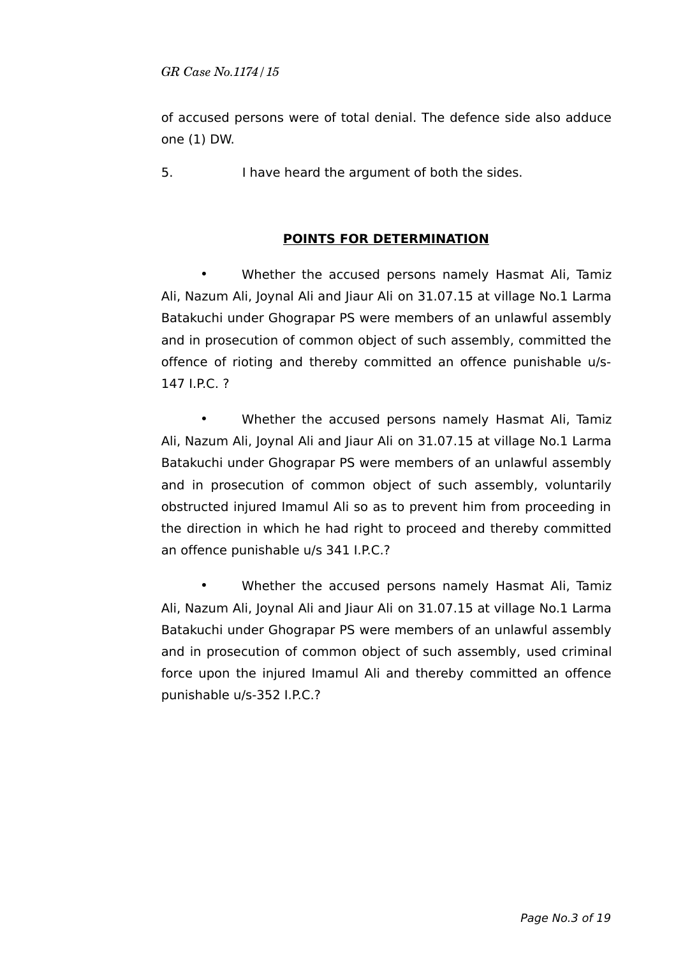of accused persons were of total denial. The defence side also adduce one (1) DW.

5. I have heard the argument of both the sides.

# **POINTS FOR DETERMINATION**

• Whether the accused persons namely Hasmat Ali, Tamiz Ali, Nazum Ali, Joynal Ali and Jiaur Ali on 31.07.15 at village No.1 Larma Batakuchi under Ghograpar PS were members of an unlawful assembly and in prosecution of common object of such assembly, committed the offence of rioting and thereby committed an offence punishable u/s-147 I.P.C. ?

• Whether the accused persons namely Hasmat Ali, Tamiz Ali, Nazum Ali, Joynal Ali and Jiaur Ali on 31.07.15 at village No.1 Larma Batakuchi under Ghograpar PS were members of an unlawful assembly and in prosecution of common object of such assembly, voluntarily obstructed injured Imamul Ali so as to prevent him from proceeding in the direction in which he had right to proceed and thereby committed an offence punishable u/s 341 I.P.C.?

• Whether the accused persons namely Hasmat Ali, Tamiz Ali, Nazum Ali, Joynal Ali and Jiaur Ali on 31.07.15 at village No.1 Larma Batakuchi under Ghograpar PS were members of an unlawful assembly and in prosecution of common object of such assembly, used criminal force upon the injured Imamul Ali and thereby committed an offence punishable u/s-352 I.P.C.?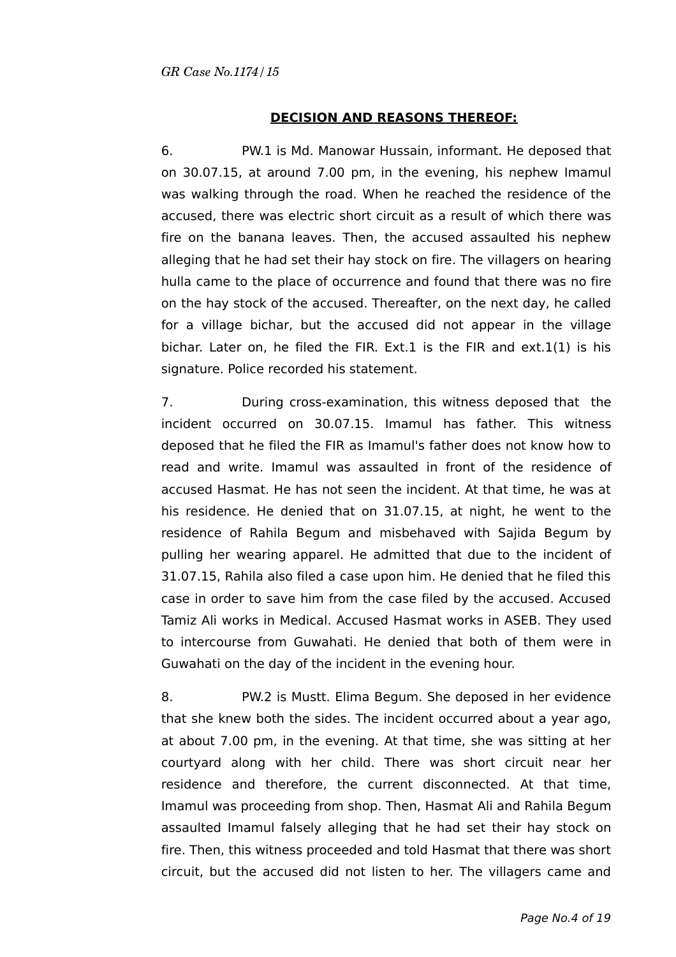# **DECISION AND REASONS THEREOF:**

6. PW.1 is Md. Manowar Hussain, informant. He deposed that on 30.07.15, at around 7.00 pm, in the evening, his nephew Imamul was walking through the road. When he reached the residence of the accused, there was electric short circuit as a result of which there was fire on the banana leaves. Then, the accused assaulted his nephew alleging that he had set their hay stock on fire. The villagers on hearing hulla came to the place of occurrence and found that there was no fire on the hay stock of the accused. Thereafter, on the next day, he called for a village bichar, but the accused did not appear in the village bichar. Later on, he filed the FIR. Ext.1 is the FIR and ext.1(1) is his signature. Police recorded his statement.

7. During cross-examination, this witness deposed that the incident occurred on 30.07.15. Imamul has father. This witness deposed that he filed the FIR as Imamul's father does not know how to read and write. Imamul was assaulted in front of the residence of accused Hasmat. He has not seen the incident. At that time, he was at his residence. He denied that on 31.07.15, at night, he went to the residence of Rahila Begum and misbehaved with Sajida Begum by pulling her wearing apparel. He admitted that due to the incident of 31.07.15, Rahila also filed a case upon him. He denied that he filed this case in order to save him from the case filed by the accused. Accused Tamiz Ali works in Medical. Accused Hasmat works in ASEB. They used to intercourse from Guwahati. He denied that both of them were in Guwahati on the day of the incident in the evening hour.

8. PW.2 is Mustt. Elima Begum. She deposed in her evidence that she knew both the sides. The incident occurred about a year ago, at about 7.00 pm, in the evening. At that time, she was sitting at her courtyard along with her child. There was short circuit near her residence and therefore, the current disconnected. At that time, Imamul was proceeding from shop. Then, Hasmat Ali and Rahila Begum assaulted Imamul falsely alleging that he had set their hay stock on fire. Then, this witness proceeded and told Hasmat that there was short circuit, but the accused did not listen to her. The villagers came and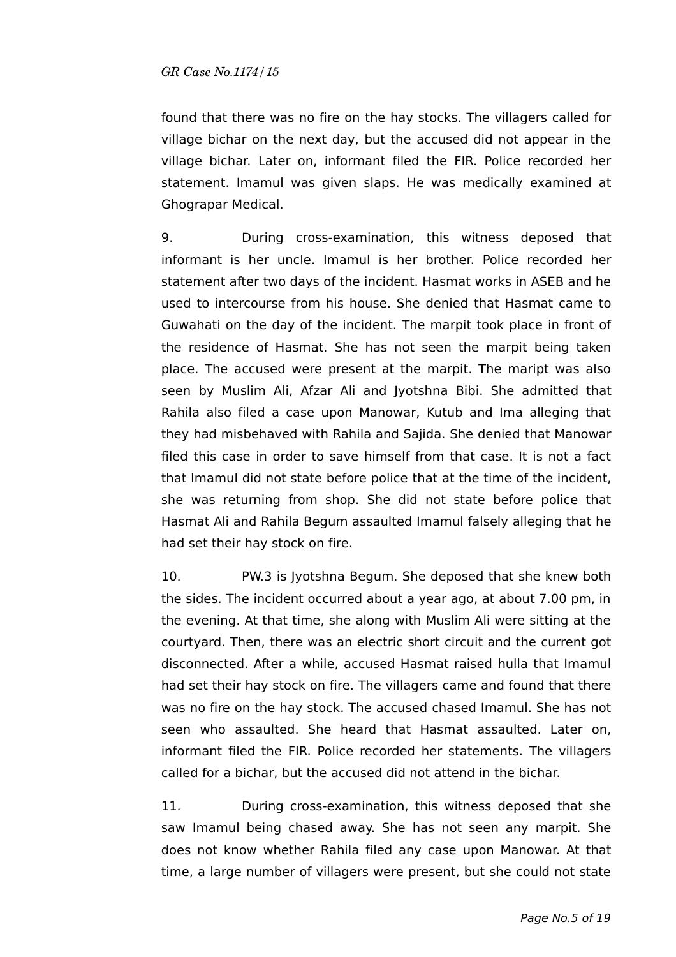found that there was no fire on the hay stocks. The villagers called for village bichar on the next day, but the accused did not appear in the village bichar. Later on, informant filed the FIR. Police recorded her statement. Imamul was given slaps. He was medically examined at Ghograpar Medical.

9. During cross-examination, this witness deposed that informant is her uncle. Imamul is her brother. Police recorded her statement after two days of the incident. Hasmat works in ASEB and he used to intercourse from his house. She denied that Hasmat came to Guwahati on the day of the incident. The marpit took place in front of the residence of Hasmat. She has not seen the marpit being taken place. The accused were present at the marpit. The maript was also seen by Muslim Ali, Afzar Ali and Jyotshna Bibi. She admitted that Rahila also filed a case upon Manowar, Kutub and Ima alleging that they had misbehaved with Rahila and Sajida. She denied that Manowar filed this case in order to save himself from that case. It is not a fact that Imamul did not state before police that at the time of the incident, she was returning from shop. She did not state before police that Hasmat Ali and Rahila Begum assaulted Imamul falsely alleging that he had set their hay stock on fire.

10. PW.3 is Jyotshna Begum. She deposed that she knew both the sides. The incident occurred about a year ago, at about 7.00 pm, in the evening. At that time, she along with Muslim Ali were sitting at the courtyard. Then, there was an electric short circuit and the current got disconnected. After a while, accused Hasmat raised hulla that Imamul had set their hay stock on fire. The villagers came and found that there was no fire on the hay stock. The accused chased Imamul. She has not seen who assaulted. She heard that Hasmat assaulted. Later on, informant filed the FIR. Police recorded her statements. The villagers called for a bichar, but the accused did not attend in the bichar.

11. During cross-examination, this witness deposed that she saw Imamul being chased away. She has not seen any marpit. She does not know whether Rahila filed any case upon Manowar. At that time, a large number of villagers were present, but she could not state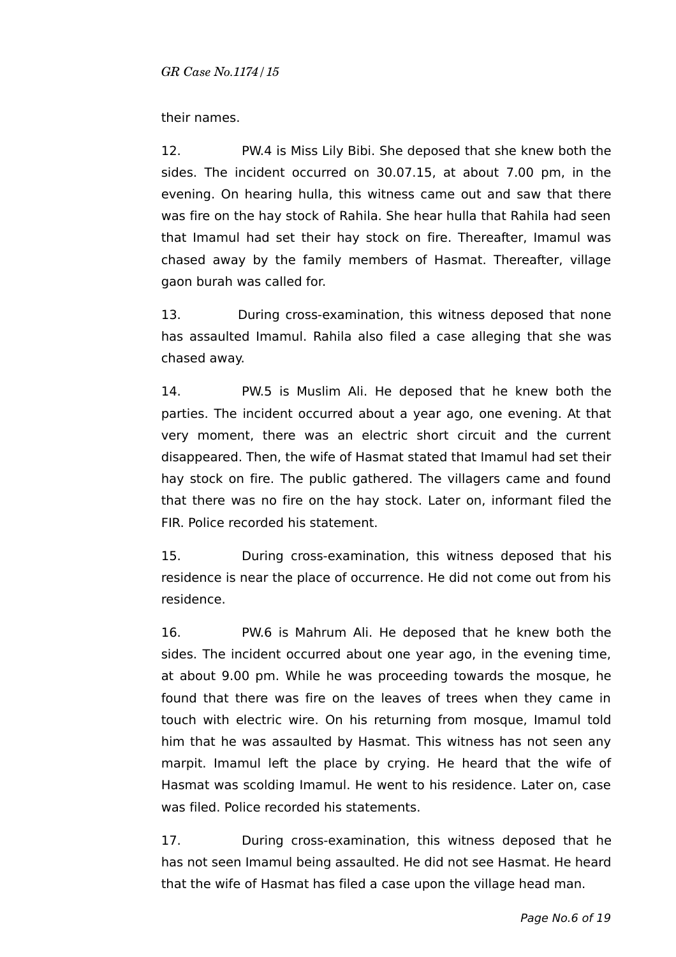## their names.

12. PW.4 is Miss Lily Bibi. She deposed that she knew both the sides. The incident occurred on 30.07.15, at about 7.00 pm, in the evening. On hearing hulla, this witness came out and saw that there was fire on the hay stock of Rahila. She hear hulla that Rahila had seen that Imamul had set their hay stock on fire. Thereafter, Imamul was chased away by the family members of Hasmat. Thereafter, village gaon burah was called for.

13. During cross-examination, this witness deposed that none has assaulted Imamul. Rahila also filed a case alleging that she was chased away.

14. PW.5 is Muslim Ali. He deposed that he knew both the parties. The incident occurred about a year ago, one evening. At that very moment, there was an electric short circuit and the current disappeared. Then, the wife of Hasmat stated that Imamul had set their hay stock on fire. The public gathered. The villagers came and found that there was no fire on the hay stock. Later on, informant filed the FIR. Police recorded his statement.

15. During cross-examination, this witness deposed that his residence is near the place of occurrence. He did not come out from his residence.

16. PW.6 is Mahrum Ali. He deposed that he knew both the sides. The incident occurred about one year ago, in the evening time, at about 9.00 pm. While he was proceeding towards the mosque, he found that there was fire on the leaves of trees when they came in touch with electric wire. On his returning from mosque, Imamul told him that he was assaulted by Hasmat. This witness has not seen any marpit. Imamul left the place by crying. He heard that the wife of Hasmat was scolding Imamul. He went to his residence. Later on, case was filed. Police recorded his statements.

17. During cross-examination, this witness deposed that he has not seen Imamul being assaulted. He did not see Hasmat. He heard that the wife of Hasmat has filed a case upon the village head man.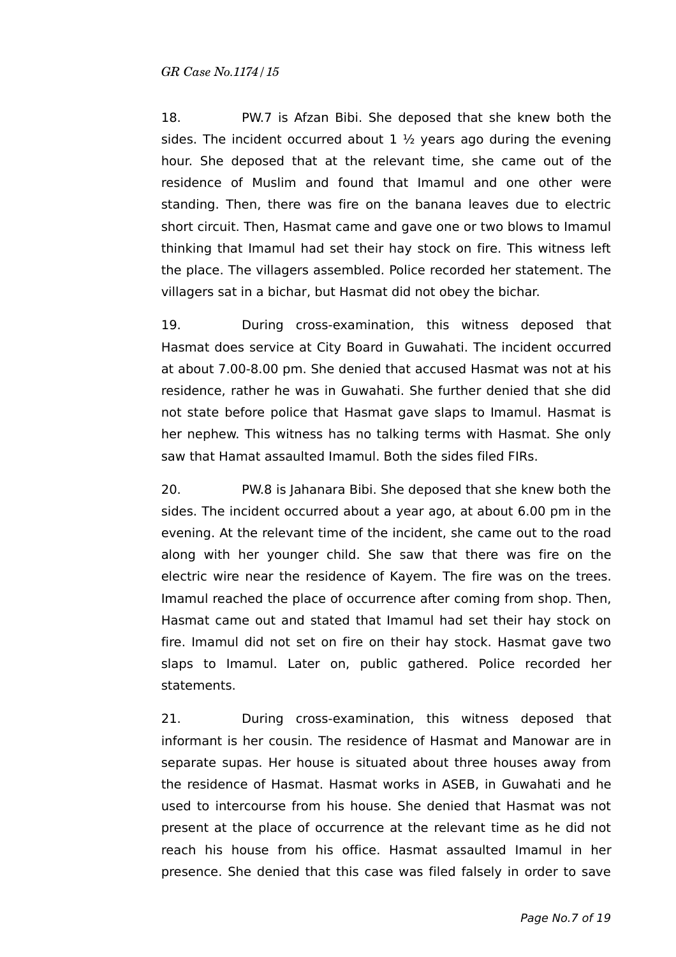18. PW.7 is Afzan Bibi. She deposed that she knew both the sides. The incident occurred about  $1 \frac{1}{2}$  years ago during the evening hour. She deposed that at the relevant time, she came out of the residence of Muslim and found that Imamul and one other were standing. Then, there was fire on the banana leaves due to electric short circuit. Then, Hasmat came and gave one or two blows to Imamul thinking that Imamul had set their hay stock on fire. This witness left the place. The villagers assembled. Police recorded her statement. The villagers sat in a bichar, but Hasmat did not obey the bichar.

19. During cross-examination, this witness deposed that Hasmat does service at City Board in Guwahati. The incident occurred at about 7.00-8.00 pm. She denied that accused Hasmat was not at his residence, rather he was in Guwahati. She further denied that she did not state before police that Hasmat gave slaps to Imamul. Hasmat is her nephew. This witness has no talking terms with Hasmat. She only saw that Hamat assaulted Imamul. Both the sides filed FIRs.

20. PW.8 is Jahanara Bibi. She deposed that she knew both the sides. The incident occurred about a year ago, at about 6.00 pm in the evening. At the relevant time of the incident, she came out to the road along with her younger child. She saw that there was fire on the electric wire near the residence of Kayem. The fire was on the trees. Imamul reached the place of occurrence after coming from shop. Then, Hasmat came out and stated that Imamul had set their hay stock on fire. Imamul did not set on fire on their hay stock. Hasmat gave two slaps to Imamul. Later on, public gathered. Police recorded her statements.

21. During cross-examination, this witness deposed that informant is her cousin. The residence of Hasmat and Manowar are in separate supas. Her house is situated about three houses away from the residence of Hasmat. Hasmat works in ASEB, in Guwahati and he used to intercourse from his house. She denied that Hasmat was not present at the place of occurrence at the relevant time as he did not reach his house from his office. Hasmat assaulted Imamul in her presence. She denied that this case was filed falsely in order to save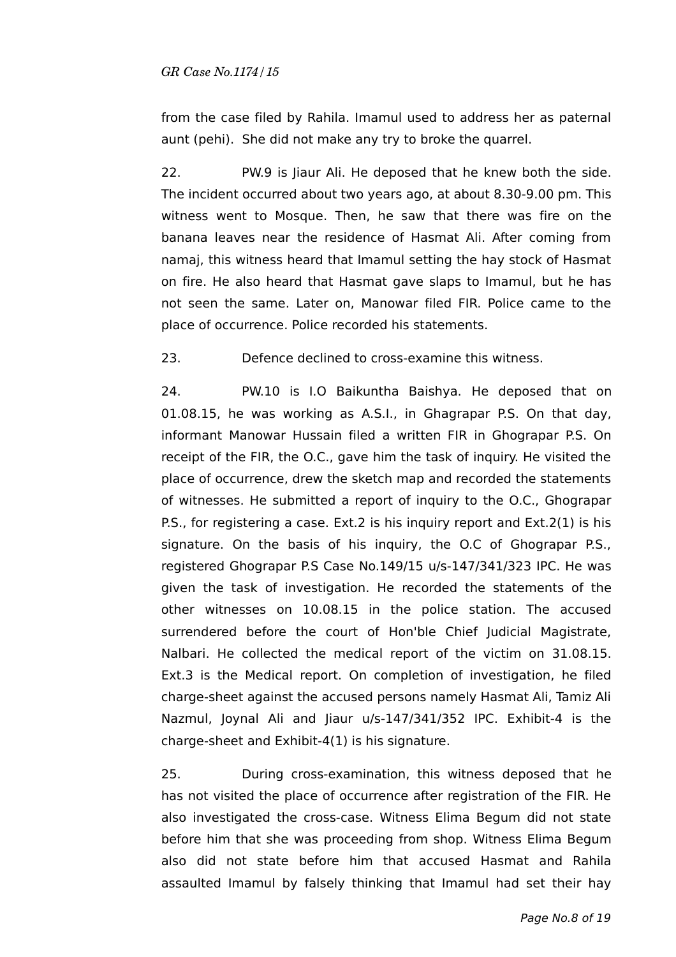from the case filed by Rahila. Imamul used to address her as paternal aunt (pehi). She did not make any try to broke the quarrel.

22. PW.9 is Jiaur Ali. He deposed that he knew both the side. The incident occurred about two years ago, at about 8.30-9.00 pm. This witness went to Mosque. Then, he saw that there was fire on the banana leaves near the residence of Hasmat Ali. After coming from namaj, this witness heard that Imamul setting the hay stock of Hasmat on fire. He also heard that Hasmat gave slaps to Imamul, but he has not seen the same. Later on, Manowar filed FIR. Police came to the place of occurrence. Police recorded his statements.

23. Defence declined to cross-examine this witness.

24. PW.10 is I.O Baikuntha Baishya. He deposed that on 01.08.15, he was working as A.S.I., in Ghagrapar P.S. On that day, informant Manowar Hussain filed a written FIR in Ghograpar P.S. On receipt of the FIR, the O.C., gave him the task of inquiry. He visited the place of occurrence, drew the sketch map and recorded the statements of witnesses. He submitted a report of inquiry to the O.C., Ghograpar P.S., for registering a case. Ext.2 is his inquiry report and Ext.2(1) is his signature. On the basis of his inquiry, the O.C of Ghograpar P.S., registered Ghograpar P.S Case No.149/15 u/s-147/341/323 IPC. He was given the task of investigation. He recorded the statements of the other witnesses on 10.08.15 in the police station. The accused surrendered before the court of Hon'ble Chief Judicial Magistrate, Nalbari. He collected the medical report of the victim on 31.08.15. Ext.3 is the Medical report. On completion of investigation, he filed charge-sheet against the accused persons namely Hasmat Ali, Tamiz Ali Nazmul, Joynal Ali and Jiaur u/s-147/341/352 IPC. Exhibit-4 is the charge-sheet and Exhibit-4(1) is his signature.

25. During cross-examination, this witness deposed that he has not visited the place of occurrence after registration of the FIR. He also investigated the cross-case. Witness Elima Begum did not state before him that she was proceeding from shop. Witness Elima Begum also did not state before him that accused Hasmat and Rahila assaulted Imamul by falsely thinking that Imamul had set their hay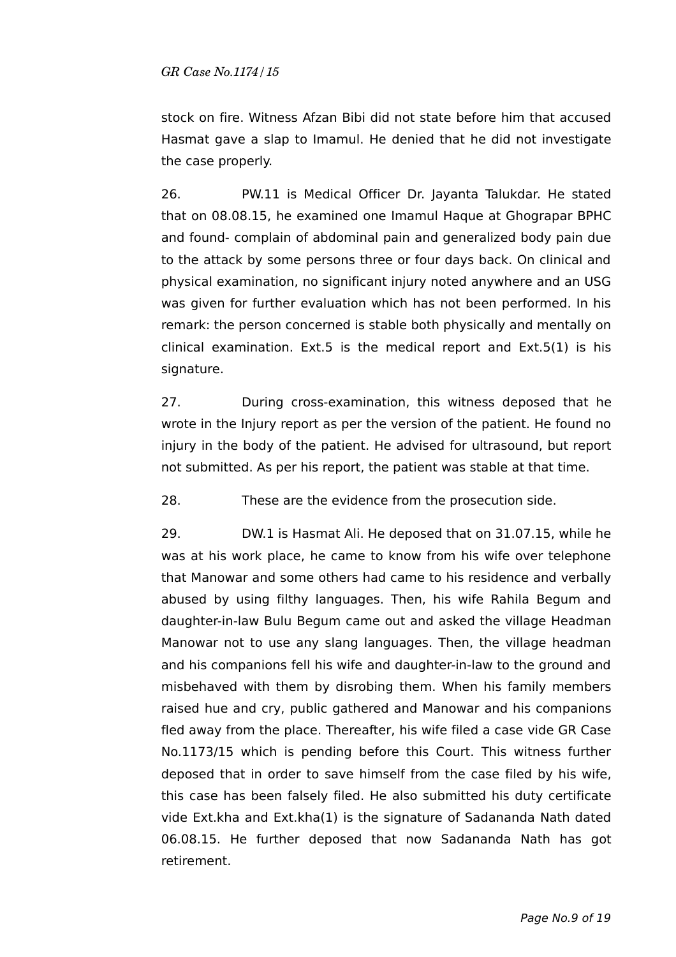stock on fire. Witness Afzan Bibi did not state before him that accused Hasmat gave a slap to Imamul. He denied that he did not investigate the case properly.

26. PW.11 is Medical Officer Dr. Jayanta Talukdar. He stated that on 08.08.15, he examined one Imamul Haque at Ghograpar BPHC and found- complain of abdominal pain and generalized body pain due to the attack by some persons three or four days back. On clinical and physical examination, no significant injury noted anywhere and an USG was given for further evaluation which has not been performed. In his remark: the person concerned is stable both physically and mentally on clinical examination. Ext.5 is the medical report and Ext.5(1) is his signature.

27. During cross-examination, this witness deposed that he wrote in the Injury report as per the version of the patient. He found no injury in the body of the patient. He advised for ultrasound, but report not submitted. As per his report, the patient was stable at that time.

28. These are the evidence from the prosecution side.

29. DW.1 is Hasmat Ali. He deposed that on 31.07.15, while he was at his work place, he came to know from his wife over telephone that Manowar and some others had came to his residence and verbally abused by using filthy languages. Then, his wife Rahila Begum and daughter-in-law Bulu Begum came out and asked the village Headman Manowar not to use any slang languages. Then, the village headman and his companions fell his wife and daughter-in-law to the ground and misbehaved with them by disrobing them. When his family members raised hue and cry, public gathered and Manowar and his companions fled away from the place. Thereafter, his wife filed a case vide GR Case No.1173/15 which is pending before this Court. This witness further deposed that in order to save himself from the case filed by his wife, this case has been falsely filed. He also submitted his duty certificate vide Ext.kha and Ext.kha(1) is the signature of Sadananda Nath dated 06.08.15. He further deposed that now Sadananda Nath has got retirement.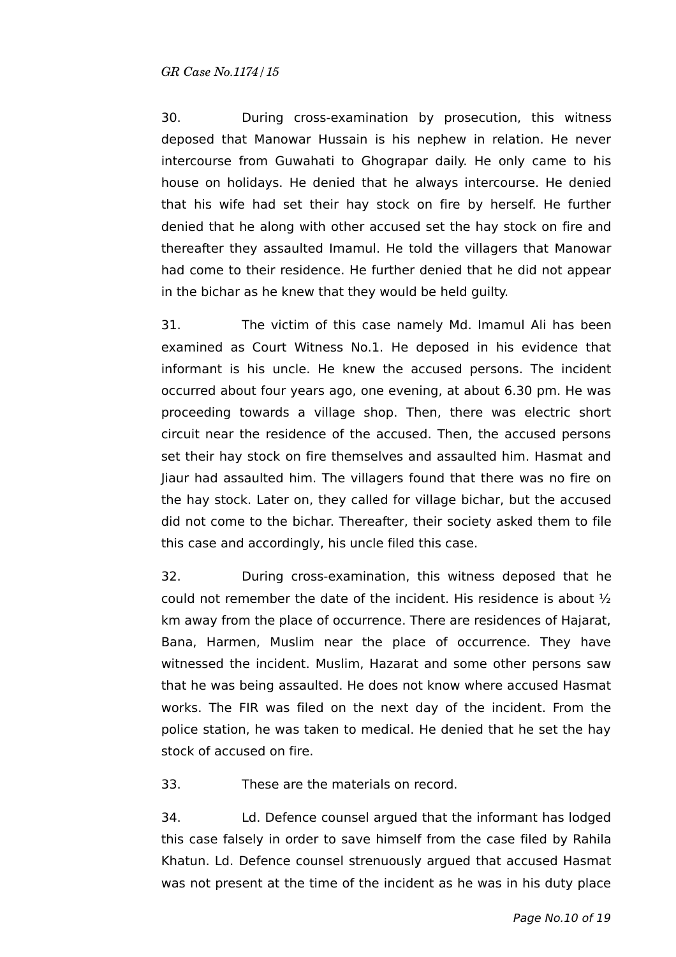30. During cross-examination by prosecution, this witness deposed that Manowar Hussain is his nephew in relation. He never intercourse from Guwahati to Ghograpar daily. He only came to his house on holidays. He denied that he always intercourse. He denied that his wife had set their hay stock on fire by herself. He further denied that he along with other accused set the hay stock on fire and thereafter they assaulted Imamul. He told the villagers that Manowar had come to their residence. He further denied that he did not appear in the bichar as he knew that they would be held guilty.

31. The victim of this case namely Md. Imamul Ali has been examined as Court Witness No.1. He deposed in his evidence that informant is his uncle. He knew the accused persons. The incident occurred about four years ago, one evening, at about 6.30 pm. He was proceeding towards a village shop. Then, there was electric short circuit near the residence of the accused. Then, the accused persons set their hay stock on fire themselves and assaulted him. Hasmat and Jiaur had assaulted him. The villagers found that there was no fire on the hay stock. Later on, they called for village bichar, but the accused did not come to the bichar. Thereafter, their society asked them to file this case and accordingly, his uncle filed this case.

32. During cross-examination, this witness deposed that he could not remember the date of the incident. His residence is about ½ km away from the place of occurrence. There are residences of Hajarat, Bana, Harmen, Muslim near the place of occurrence. They have witnessed the incident. Muslim, Hazarat and some other persons saw that he was being assaulted. He does not know where accused Hasmat works. The FIR was filed on the next day of the incident. From the police station, he was taken to medical. He denied that he set the hay stock of accused on fire.

33. These are the materials on record.

34. Ld. Defence counsel argued that the informant has lodged this case falsely in order to save himself from the case filed by Rahila Khatun. Ld. Defence counsel strenuously argued that accused Hasmat was not present at the time of the incident as he was in his duty place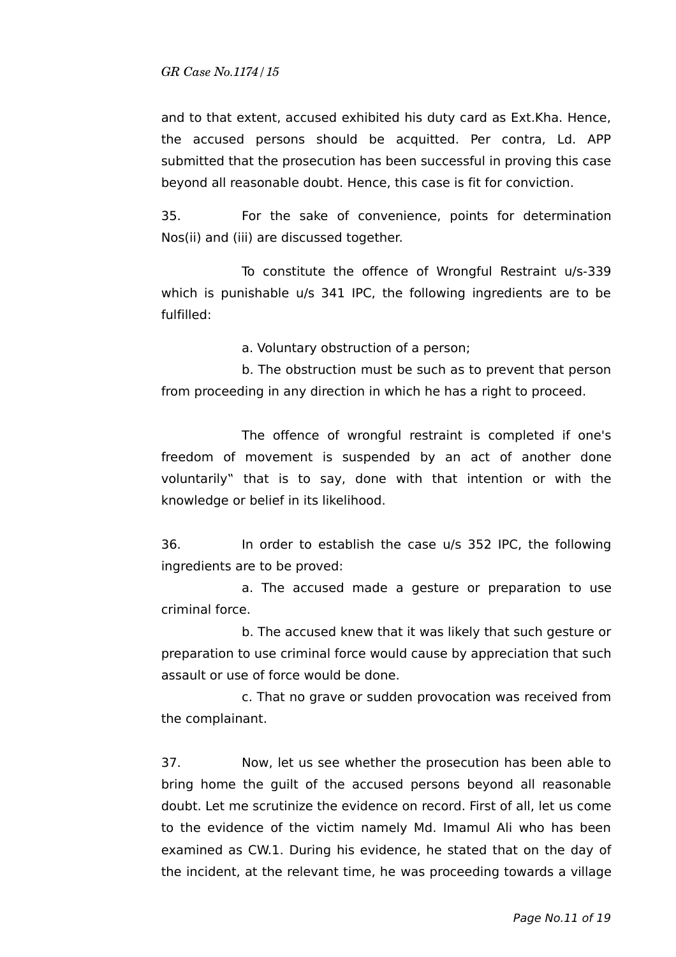and to that extent, accused exhibited his duty card as Ext.Kha. Hence, the accused persons should be acquitted. Per contra, Ld. APP submitted that the prosecution has been successful in proving this case beyond all reasonable doubt. Hence, this case is fit for conviction.

35. For the sake of convenience, points for determination Nos(ii) and (iii) are discussed together.

To constitute the offence of Wrongful Restraint u/s-339 which is punishable u/s 341 IPC, the following ingredients are to be fulfilled:

a. Voluntary obstruction of a person;

b. The obstruction must be such as to prevent that person from proceeding in any direction in which he has a right to proceed.

The offence of wrongful restraint is completed if one's freedom of movement is suspended by an act of another done voluntarily" that is to say, done with that intention or with the knowledge or belief in its likelihood.

36. In order to establish the case u/s 352 IPC, the following ingredients are to be proved:

a. The accused made a gesture or preparation to use criminal force.

b. The accused knew that it was likely that such gesture or preparation to use criminal force would cause by appreciation that such assault or use of force would be done.

c. That no grave or sudden provocation was received from the complainant.

37. Now, let us see whether the prosecution has been able to bring home the guilt of the accused persons beyond all reasonable doubt. Let me scrutinize the evidence on record. First of all, let us come to the evidence of the victim namely Md. Imamul Ali who has been examined as CW.1. During his evidence, he stated that on the day of the incident, at the relevant time, he was proceeding towards a village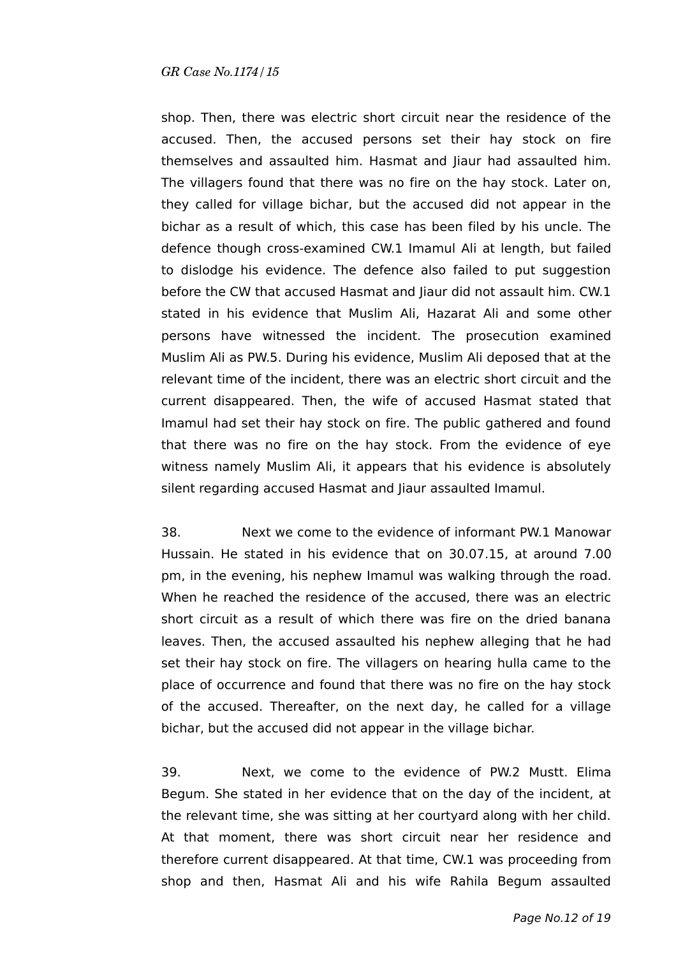shop. Then, there was electric short circuit near the residence of the accused. Then, the accused persons set their hay stock on fire themselves and assaulted him. Hasmat and Jiaur had assaulted him. The villagers found that there was no fire on the hay stock. Later on, they called for village bichar, but the accused did not appear in the bichar as a result of which, this case has been filed by his uncle. The defence though cross-examined CW.1 Imamul Ali at length, but failed to dislodge his evidence. The defence also failed to put suggestion before the CW that accused Hasmat and Jiaur did not assault him. CW.1 stated in his evidence that Muslim Ali, Hazarat Ali and some other persons have witnessed the incident. The prosecution examined Muslim Ali as PW.5. During his evidence, Muslim Ali deposed that at the relevant time of the incident, there was an electric short circuit and the current disappeared. Then, the wife of accused Hasmat stated that Imamul had set their hay stock on fire. The public gathered and found that there was no fire on the hay stock. From the evidence of eye witness namely Muslim Ali, it appears that his evidence is absolutely silent regarding accused Hasmat and Jiaur assaulted Imamul.

38. Next we come to the evidence of informant PW.1 Manowar Hussain. He stated in his evidence that on 30.07.15, at around 7.00 pm, in the evening, his nephew Imamul was walking through the road. When he reached the residence of the accused, there was an electric short circuit as a result of which there was fire on the dried banana leaves. Then, the accused assaulted his nephew alleging that he had set their hay stock on fire. The villagers on hearing hulla came to the place of occurrence and found that there was no fire on the hay stock of the accused. Thereafter, on the next day, he called for a village bichar, but the accused did not appear in the village bichar.

39. Next, we come to the evidence of PW.2 Mustt. Elima Begum. She stated in her evidence that on the day of the incident, at the relevant time, she was sitting at her courtyard along with her child. At that moment, there was short circuit near her residence and therefore current disappeared. At that time, CW.1 was proceeding from shop and then, Hasmat Ali and his wife Rahila Begum assaulted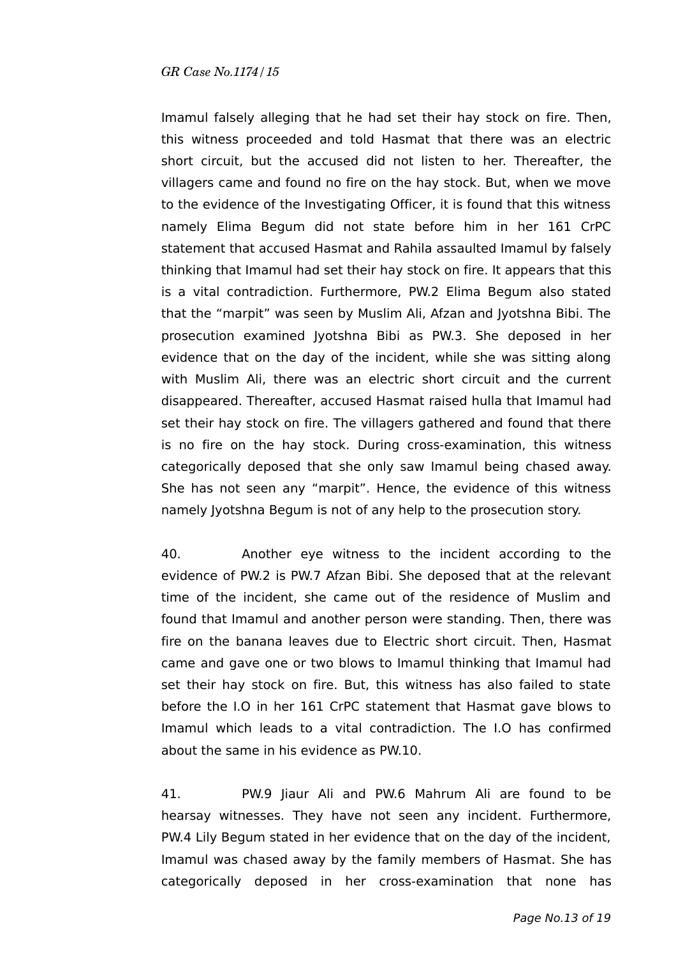Imamul falsely alleging that he had set their hay stock on fire. Then, this witness proceeded and told Hasmat that there was an electric short circuit, but the accused did not listen to her. Thereafter, the villagers came and found no fire on the hay stock. But, when we move to the evidence of the Investigating Officer, it is found that this witness namely Elima Begum did not state before him in her 161 CrPC statement that accused Hasmat and Rahila assaulted Imamul by falsely thinking that Imamul had set their hay stock on fire. It appears that this is a vital contradiction. Furthermore, PW.2 Elima Begum also stated that the "marpit" was seen by Muslim Ali, Afzan and Jyotshna Bibi. The prosecution examined Jyotshna Bibi as PW.3. She deposed in her evidence that on the day of the incident, while she was sitting along with Muslim Ali, there was an electric short circuit and the current disappeared. Thereafter, accused Hasmat raised hulla that Imamul had set their hay stock on fire. The villagers gathered and found that there is no fire on the hay stock. During cross-examination, this witness categorically deposed that she only saw Imamul being chased away. She has not seen any "marpit". Hence, the evidence of this witness namely Jyotshna Begum is not of any help to the prosecution story.

40. Another eye witness to the incident according to the evidence of PW.2 is PW.7 Afzan Bibi. She deposed that at the relevant time of the incident, she came out of the residence of Muslim and found that Imamul and another person were standing. Then, there was fire on the banana leaves due to Electric short circuit. Then, Hasmat came and gave one or two blows to Imamul thinking that Imamul had set their hay stock on fire. But, this witness has also failed to state before the I.O in her 161 CrPC statement that Hasmat gave blows to Imamul which leads to a vital contradiction. The I.O has confirmed about the same in his evidence as PW.10.

41. PW.9 Jiaur Ali and PW.6 Mahrum Ali are found to be hearsay witnesses. They have not seen any incident. Furthermore, PW.4 Lily Begum stated in her evidence that on the day of the incident, Imamul was chased away by the family members of Hasmat. She has categorically deposed in her cross-examination that none has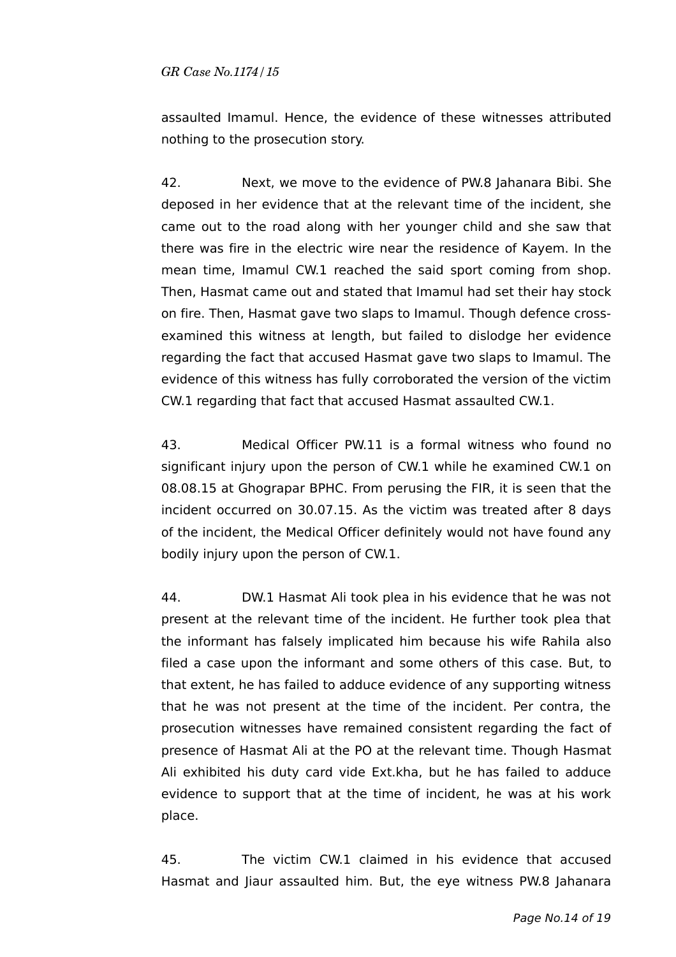assaulted Imamul. Hence, the evidence of these witnesses attributed nothing to the prosecution story.

42. Next, we move to the evidence of PW.8 Jahanara Bibi. She deposed in her evidence that at the relevant time of the incident, she came out to the road along with her younger child and she saw that there was fire in the electric wire near the residence of Kayem. In the mean time, Imamul CW.1 reached the said sport coming from shop. Then, Hasmat came out and stated that Imamul had set their hay stock on fire. Then, Hasmat gave two slaps to Imamul. Though defence crossexamined this witness at length, but failed to dislodge her evidence regarding the fact that accused Hasmat gave two slaps to Imamul. The evidence of this witness has fully corroborated the version of the victim CW.1 regarding that fact that accused Hasmat assaulted CW.1.

43. Medical Officer PW.11 is a formal witness who found no significant injury upon the person of CW.1 while he examined CW.1 on 08.08.15 at Ghograpar BPHC. From perusing the FIR, it is seen that the incident occurred on 30.07.15. As the victim was treated after 8 days of the incident, the Medical Officer definitely would not have found any bodily injury upon the person of CW.1.

44. DW.1 Hasmat Ali took plea in his evidence that he was not present at the relevant time of the incident. He further took plea that the informant has falsely implicated him because his wife Rahila also filed a case upon the informant and some others of this case. But, to that extent, he has failed to adduce evidence of any supporting witness that he was not present at the time of the incident. Per contra, the prosecution witnesses have remained consistent regarding the fact of presence of Hasmat Ali at the PO at the relevant time. Though Hasmat Ali exhibited his duty card vide Ext.kha, but he has failed to adduce evidence to support that at the time of incident, he was at his work place.

45. The victim CW.1 claimed in his evidence that accused Hasmat and Jiaur assaulted him. But, the eye witness PW.8 Jahanara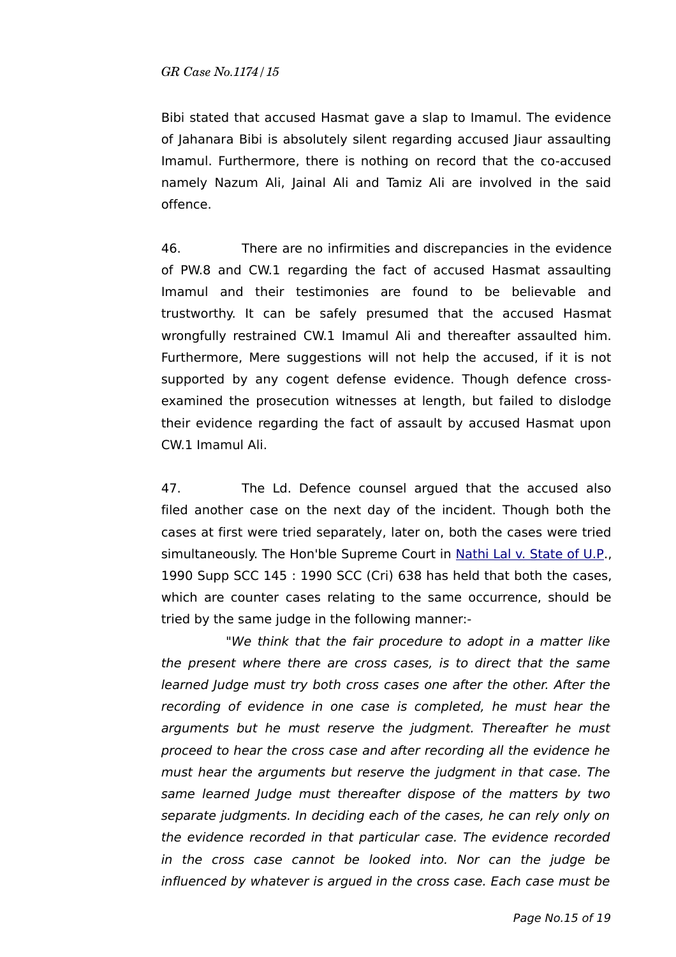Bibi stated that accused Hasmat gave a slap to Imamul. The evidence of Jahanara Bibi is absolutely silent regarding accused Jiaur assaulting Imamul. Furthermore, there is nothing on record that the co-accused namely Nazum Ali, Jainal Ali and Tamiz Ali are involved in the said offence.

46. There are no infirmities and discrepancies in the evidence of PW.8 and CW.1 regarding the fact of accused Hasmat assaulting Imamul and their testimonies are found to be believable and trustworthy. It can be safely presumed that the accused Hasmat wrongfully restrained CW.1 Imamul Ali and thereafter assaulted him. Furthermore, Mere suggestions will not help the accused, if it is not supported by any cogent defense evidence. Though defence crossexamined the prosecution witnesses at length, but failed to dislodge their evidence regarding the fact of assault by accused Hasmat upon CW.1 Imamul Ali.

47. The Ld. Defence counsel argued that the accused also filed another case on the next day of the incident. Though both the cases at first were tried separately, later on, both the cases were tried simultaneously. The Hon'ble Supreme Court in [Nathi Lal v. State of U.P.](https://indiankanoon.org/doc/77087502/), 1990 Supp SCC 145 : 1990 SCC (Cri) 638 has held that both the cases, which are counter cases relating to the same occurrence, should be tried by the same judge in the following manner:-

"We think that the fair procedure to adopt in a matter like the present where there are cross cases, is to direct that the same learned Judge must try both cross cases one after the other. After the recording of evidence in one case is completed, he must hear the arguments but he must reserve the judgment. Thereafter he must proceed to hear the cross case and after recording all the evidence he must hear the arguments but reserve the judgment in that case. The same learned Judge must thereafter dispose of the matters by two separate judgments. In deciding each of the cases, he can rely only on the evidence recorded in that particular case. The evidence recorded in the cross case cannot be looked into. Nor can the judge be influenced by whatever is argued in the cross case. Each case must be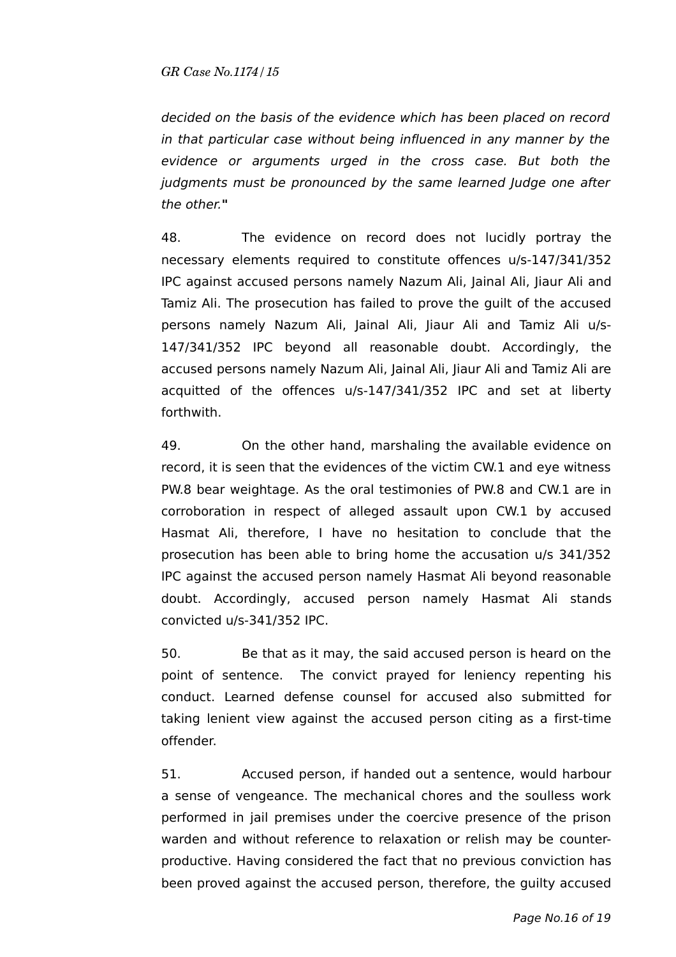decided on the basis of the evidence which has been placed on record in that particular case without being influenced in any manner by the evidence or arguments urged in the cross case. But both the judgments must be pronounced by the same learned Judge one after the other.**"** 

48. The evidence on record does not lucidly portray the necessary elements required to constitute offences u/s-147/341/352 IPC against accused persons namely Nazum Ali, Jainal Ali, Jiaur Ali and Tamiz Ali. The prosecution has failed to prove the guilt of the accused persons namely Nazum Ali, Jainal Ali, Jiaur Ali and Tamiz Ali u/s-147/341/352 IPC beyond all reasonable doubt. Accordingly, the accused persons namely Nazum Ali, Jainal Ali, Jiaur Ali and Tamiz Ali are acquitted of the offences u/s-147/341/352 IPC and set at liberty forthwith.

49. On the other hand, marshaling the available evidence on record, it is seen that the evidences of the victim CW.1 and eye witness PW.8 bear weightage. As the oral testimonies of PW.8 and CW.1 are in corroboration in respect of alleged assault upon CW.1 by accused Hasmat Ali, therefore, I have no hesitation to conclude that the prosecution has been able to bring home the accusation u/s 341/352 IPC against the accused person namely Hasmat Ali beyond reasonable doubt. Accordingly, accused person namely Hasmat Ali stands convicted u/s-341/352 IPC.

50. Be that as it may, the said accused person is heard on the point of sentence. The convict prayed for leniency repenting his conduct. Learned defense counsel for accused also submitted for taking lenient view against the accused person citing as a first-time offender.

51. Accused person, if handed out a sentence, would harbour a sense of vengeance. The mechanical chores and the soulless work performed in jail premises under the coercive presence of the prison warden and without reference to relaxation or relish may be counterproductive. Having considered the fact that no previous conviction has been proved against the accused person, therefore, the guilty accused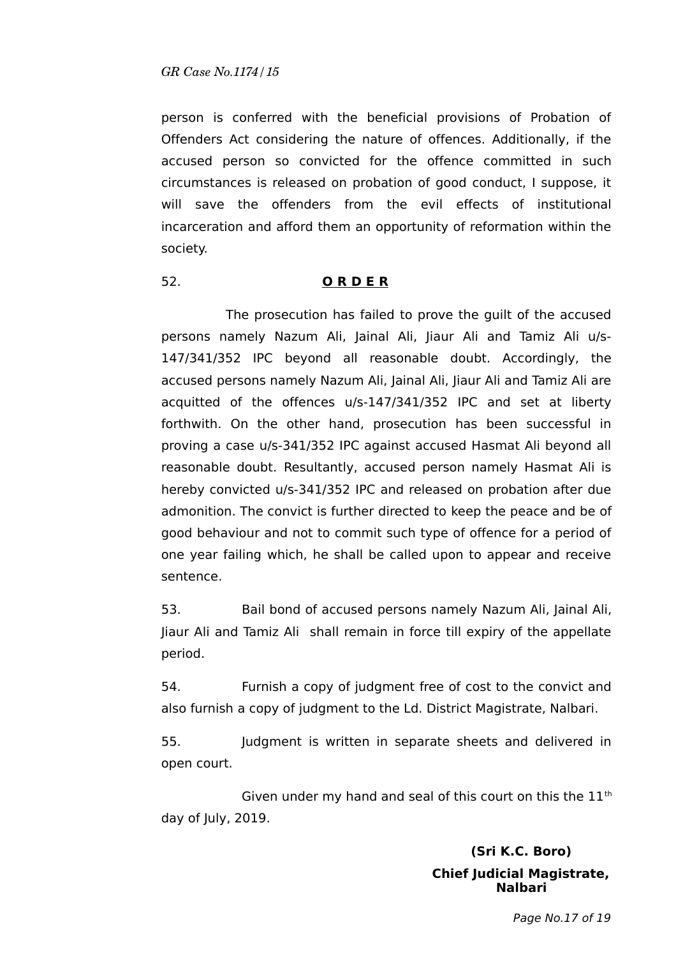person is conferred with the beneficial provisions of Probation of Offenders Act considering the nature of offences. Additionally, if the accused person so convicted for the offence committed in such circumstances is released on probation of good conduct, I suppose, it will save the offenders from the evil effects of institutional incarceration and afford them an opportunity of reformation within the society.

#### 52. **O R D E R**

The prosecution has failed to prove the guilt of the accused persons namely Nazum Ali, Jainal Ali, Jiaur Ali and Tamiz Ali u/s-147/341/352 IPC beyond all reasonable doubt. Accordingly, the accused persons namely Nazum Ali, Jainal Ali, Jiaur Ali and Tamiz Ali are acquitted of the offences u/s-147/341/352 IPC and set at liberty forthwith. On the other hand, prosecution has been successful in proving a case u/s-341/352 IPC against accused Hasmat Ali beyond all reasonable doubt. Resultantly, accused person namely Hasmat Ali is hereby convicted u/s-341/352 IPC and released on probation after due admonition. The convict is further directed to keep the peace and be of good behaviour and not to commit such type of offence for a period of one year failing which, he shall be called upon to appear and receive sentence.

53. Bail bond of accused persons namely Nazum Ali, Jainal Ali, Jiaur Ali and Tamiz Ali shall remain in force till expiry of the appellate period.

54. Furnish a copy of judgment free of cost to the convict and also furnish a copy of judgment to the Ld. District Magistrate, Nalbari.

55. Judgment is written in separate sheets and delivered in open court.

Given under my hand and seal of this court on this the  $11<sup>th</sup>$ day of July, 2019.

# **(Sri K.C. Boro) Chief Judicial Magistrate, Nalbari**

Page No.17 of 19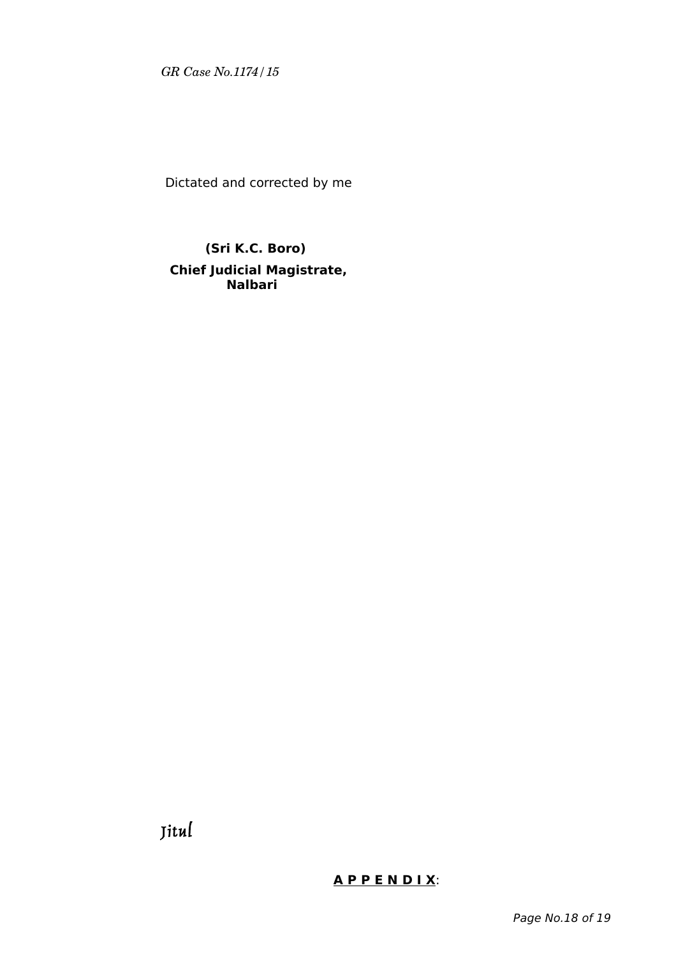Dictated and corrected by me

# **(Sri K.C. Boro) Chief Judicial Magistrate, Nalbari**

Jitul

# **A P P E N D I X**: